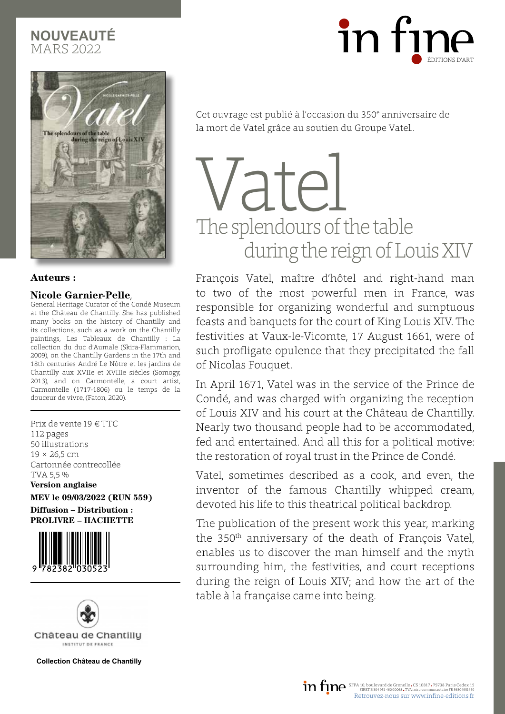## **NOUVEAUTÉ** MARS 2022



## **Auteurs :**

## **Nicole Garnier-Pelle**,

General Heritage Curator of the Condé Museum at the Château de Chantilly. She has published many books on the history of Chantilly and its collections, such as a work on the Chantilly paintings, Les Tableaux de Chantilly : La collection du duc d'Aumale (Skira-Flammarion, 2009), on the Chantilly Gardens in the 17th and 18th centuries André Le Nôtre et les jardins de Chantilly aux XVIIe et XVIIIe siècles (Somogy, 2013), and on Carmontelle, a court artist, Carmontelle (1717-1806) ou le temps de la douceur de vivre, (Faton, 2020).

Prix de vente 19 € TTC 112 pages 50 illustrations  $19 \times 26.5$  cm Cartonnée contrecollée TVA 5,5 %

**Version anglaise MEV le 09/03/2022 (RUN 559)**

**Diffusion – Distribution : PROLIVRE – HACHETTE**





**Collection Château de Chantilly**



Cet ouvrage est publié à l'occasion du 350<sup>e</sup> anniversaire de la mort de Vatel grâce au soutien du Groupe Vatel..

## Vatel The splendours of the table during the reign of Louis XIV

François Vatel, maître d'hôtel and right-hand man to two of the most powerful men in France, was responsible for organizing wonderful and sumptuous feasts and banquets for the court of King Louis XIV. The festivities at Vaux-le-Vicomte, 17 August 1661, were of such profligate opulence that they precipitated the fall of Nicolas Fouquet.

In April 1671, Vatel was in the service of the Prince de Condé, and was charged with organizing the reception of Louis XIV and his court at the Château de Chantilly. Nearly two thousand people had to be accommodated, fed and entertained. And all this for a political motive: the restoration of royal trust in the Prince de Condé.

Vatel, sometimes described as a cook, and even, the inventor of the famous Chantilly whipped cream, devoted his life to this theatrical political backdrop.

The publication of the present work this year, marking the 350<sup>th</sup> anniversary of the death of François Vatel, enables us to discover the man himself and the myth surrounding him, the festivities, and court receptions during the reign of Louis XIV; and how the art of the table à la française came into being.